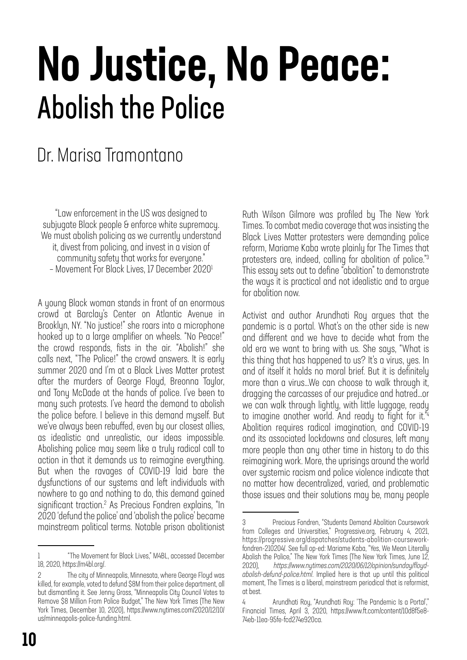# No Justice, No Peace: Abolish the Police

### Dr. Marisa Tramontano

"Law enforcement in the US was designed to subjugate Black people & enforce white supremacy. We must abolish policing as we currently understand it, divest from policing, and invest in a vision of community safety that works for everyone." – Movement For Black Lives, 17 December 20201

A young Black woman stands in front of an enormous crowd at Barclay's Center on Atlantic Avenue in Brooklyn, NY. "No justice!" she roars into a microphone hooked up to a large amplifier on wheels. "No Peace!" the crowd responds, fists in the air. "Abolish!" she calls next, "The Police!" the crowd answers. It is early summer 2020 and I'm at a Black Lives Matter protest after the murders of George Floyd, Breonna Taylor, and Tony McDade at the hands of police. I've been to many such protests. I've heard the demand to abolish the police before. I believe in this demand myself. But we've always been rebuffed, even by our closest allies, as idealistic and unrealistic, our ideas impossible. Abolishing police may seem like a truly radical call to action in that it demands us to reimagine everything. But when the ravages of COVID-19 laid bare the dysfunctions of our systems and left individuals with nowhere to go and nothing to do, this demand gained significant traction.<sup>2</sup> As Precious Fondren explains, "In 2020 'defund the police' and 'abolish the police' became mainstream political terms. Notable prison abolitionist

Ruth Wilson Gilmore was profiled by The New York Times. To combat media coverage that was insisting the Black Lives Matter protesters were demanding police reform, Mariame Kaba wrote plainly for The Times that protesters are, indeed, calling for abolition of police."3 This essay sets out to define "abolition" to demonstrate the ways it is practical and not idealistic and to argue for abolition now.

Activist and author Arundhati Roy argues that the pandemic is a portal. What's on the other side is new and different and we have to decide what from the old era we want to bring with us. She says, "What is this thing that has happened to us? It's a virus, yes. In and of itself it holds no moral brief. But it is definitely more than a virus…We can choose to walk through it, dragging the carcasses of our prejudice and hatred…or we can walk through lightly, with little luggage, ready to imagine another world. And ready to fight for it."4 Abolition requires radical imagination, and COVID-19 and its associated lockdowns and closures, left many more people than any other time in history to do this reimagining work. More, the uprisings around the world over sustemic racism and police violence indicate that no matter how decentralized, varied, and problematic those issues and their solutions may be, many people

<sup>1 &</sup>quot;The Movement for Black Lives," M4BL, accessed December 18, 2020, https://m4bl.org/.

The city of Minneapolis, Minnesota, where George Floyd was killed, for example, voted to defund \$8M from their police department, all but dismantling it. See Jenny Gross, "Minneapolis City Council Votes to Remove \$8 Million From Police Budget," The New York Times (The New York Times, December 10, 2020), https://www.nytimes.com/2020/12/10/ us/minneapolis-police-funding.html.

<sup>3</sup> Precious Fondren, "Students Demand Abolition Coursework from Colleges and Universities," Progressive.org, February 4, 2021, https://progressive.org/dispatches/students-abolition-courseworkfondren-210204/. See full op-ed: Mariame Kaba, "Yes, We Mean Literally Abolish the Police," The New York Times (The New York Times, June 12, 2020), *[https://www.nytimes.com/2020/06/12/opinion/sunday/floyd](https://www.nytimes.com/2020/06/12/opinion/sunday/floyd-abolish-defund-police.html)[abolish-defund-police.html](https://www.nytimes.com/2020/06/12/opinion/sunday/floyd-abolish-defund-police.html)*. Implied here is that up until this political moment, The Times is a liberal, mainstream periodical that is reformist, at best.

<sup>4</sup> Arundhati Roy, "Arundhati Roy: 'The Pandemic Is a Portal'," Financial Times, April 3, 2020, https://www.ft.com/content/10d8f5e8- 74eb-11ea-95fe-fcd274e920ca.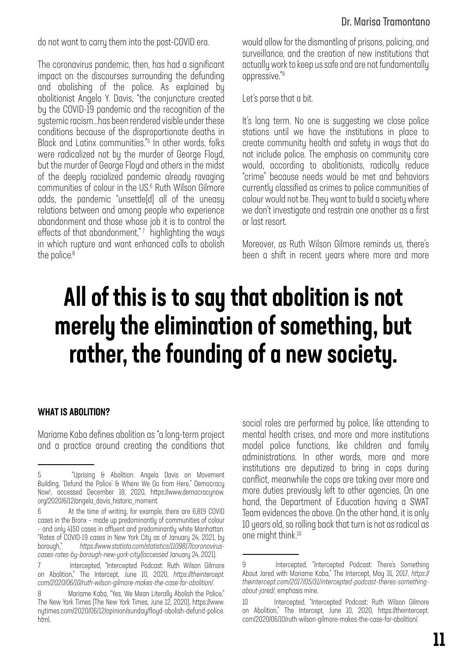do not want to carry them into the post-COVID era.

The coronavirus pandemic, then, has had a significant impact on the discourses surrounding the defunding and abolishing of the police. As explained by abolitionist Angela Y. Davis, "the conjuncture created by the COVID-19 pandemic and the recognition of the systemic racism…has been rendered visible under these conditions because of the disproportionate deaths in Black and Latinx communities."5 In other words, folks were radicalized not bu the murder of George Floud. but the murder of George Floyd and others in the midst of the deeply racialized pandemic already ravaging communities of colour in the US.6 Ruth Wilson Gilmore adds, the pandemic "unsettle[d] all of the uneasy relations between and among people who experience abandonment and those whose job it is to control the effects of that abandonment,"<sup>7</sup> highlighting the ways in which rupture and want enhanced calls to abolish the police.<sup>8</sup>

would allow for the dismantling of prisons, policing, and surveillance, and the creation of new institutions that actually work to keep us safe and are not fundamentally oppressive."9

Let's parse that a bit.

It's long term. No one is suggesting we close police stations until we have the institutions in place to create community health and safety in ways that do not include police. The emphasis on community care would, according to abolitionists, radically reduce "crime" because needs would be met and behaviors currently classified as crimes to police communities of colour would not be. They want to build a society where we don't investigate and restrain one another as a first or last resort.

Moreover, as Ruth Wilson Gilmore reminds us, there's been a shift in recent years where more and more

## All of this is to say that abolition is not merely the elimination of something, but rather, the founding of a new society.

#### WHAT IS ABOLITION?

Mariame Kaba defines abolition as "a long-term project and a practice around creating the conditions that social roles are performed by police, like attending to mental health crises, and more and more institutions model police functions, like children and family administrations. In other words, more and more institutions are deputized to bring in cops during conflict, meanwhile the cops are taking over more and more duties previously left to other agencies. On one hand, the Department of Education having a SWAT Team evidences the above. On the other hand, it is only 10 years old, so rolling back that turn is not as radical as one might think.10

<sup>5 &</sup>quot;Uprising & Abolition: Angela Davis on Movement Building, 'Defund the Police' & Where We Go from Here," Democracy Now!, accessed December 18, 2020, https://www.democracynow. org/2020/6/12/angela\_davis\_historic\_moment.

<sup>6</sup> At the time of writing, for example, there are 6,819 COVID cases in the Bronx – made up predominantly of communities of colour – and only 4150 cases in affluent and predominantly white Manhattan. "Rates of COVID-19 cases in New York City as of January 24, 2021, by borough," *[https://www.statista.com/statistics/1109817/coronavirus](https://www.statista.com/statistics/1109817/coronavirus-cases-rates-by-borough-new-york-city/(accessed)[cases-rates-by-borough-new-york-city/\(accessed](https://www.statista.com/statistics/1109817/coronavirus-cases-rates-by-borough-new-york-city/(accessed)* January 24, 2021).

<sup>7</sup> Intercepted, "Intercepted Podcast: Ruth Wilson Gilmore on Abolition," The Intercept, June 10, 2020, *[https://theintercept.](https://theintercept.com/2020/06/10/ruth-wilson-gilmore-makes-the-case-for-abolition/) [com/2020/06/10/ruth-wilson-gilmore-makes-the-case-for-abolition/](https://theintercept.com/2020/06/10/ruth-wilson-gilmore-makes-the-case-for-abolition/)*.

<sup>8</sup> Mariame Kaba, "Yes, We Mean Literally Abolish the Police," The New York Times (The New York Times, June 12, 2020), https://www. nytimes.com/2020/06/12/opinion/sunday/floyd-abolish-defund-police. html.

<sup>9</sup> Intercepted, "Intercepted Podcast: There's Something About Jared with Mariame Kaba," The Intercept, May 31, 2017, *[https://](https://theintercept.com/2017/05/31/intercepted-podcast-theres-something-about-jared/) [theintercept.com/2017/05/31/intercepted-podcast-theres-something](https://theintercept.com/2017/05/31/intercepted-podcast-theres-something-about-jared/)[about-jared/](https://theintercept.com/2017/05/31/intercepted-podcast-theres-something-about-jared/)*, emphasis mine.

<sup>10</sup> Intercepted, "Intercepted Podcast: Ruth Wilson Gilmore on Abolition," The Intercept, June 10, 2020, https://theintercept. com/2020/06/10/ruth-wilson-gilmore-makes-the-case-for-abolition/.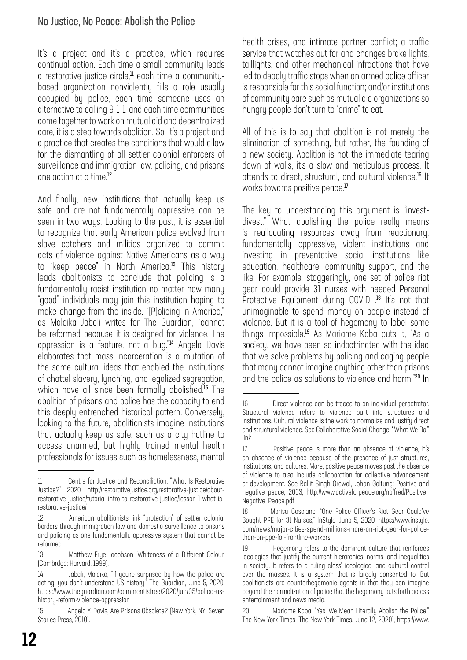#### No Justice, No Peace: Abolish the Police

It's a project and it's a practice, which requires continual action. Each time a small community leads a restorative justice circle,<sup>11</sup> each time a communitybased organization nonviolently fills a role usually occupied by police, each time someone uses an alternative to calling 9-1-1, and each time communities come together to work on mutual aid and decentralized care, it is a step towards abolition. So, it's a project and a practice that creates the conditions that would allow for the dismantling of all settler colonial enforcers of surveillance and immigration law, policing, and prisons one action at a time.<sup>12</sup>

And finally, new institutions that actually keep us safe and are not fundamentally oppressive can be seen in two ways. Looking to the past, it is essential to recognize that early American police evolved from slave catchers and militias organized to commit acts of violence against Native Americans as a way to "keep peace" in North America.<sup>13</sup> This history leads abolitionists to conclude that policing is a fundamentally racist institution no matter how many "good" individuals may join this institution hoping to make change from the inside. "[P]olicing in America," as Malaika Jabali writes for The Guardian, "cannot be reformed because it is designed for violence. The oppression is a feature, not a bug."<sup>14</sup> Angela Davis elaborates that mass incarceration is a mutation of the same cultural ideas that enabled the institutions of chattel slavery, lynching, and legalized segregation, which have all since been formally abolished.<sup>15</sup> The abolition of prisons and police has the capacity to end this deeply entrenched historical pattern. Conversely, looking to the future, abolitionists imagine institutions that actually keep us safe, such as a city hotline to access unarmed, but highly trained mental health professionals for issues such as homelessness, mental

health crises, and intimate partner conflict; a traffic service that watches out for and changes brake lights, taillights, and other mechanical infractions that have led to deadly traffic stops when an armed police officer is responsible for this social function; and/or institutions of community care such as mutual aid organizations so hungry people don't turn to "crime" to eat.

All of this is to say that abolition is not merely the elimination of something, but rather, the founding of a new society. Abolition is not the immediate tearing down of walls, it's a slow and meticulous process. It attends to direct, structural, and cultural violence.<sup>16</sup> It works towards positive peace.<sup>17</sup>

The key to understanding this argument is "investdivest." What abolishing the police really means is reallocating resources away from reactionary, fundamentally oppressive, violent institutions and investing in preventative social institutions like education, healthcare, community support, and the like. For example, staggeringly, one set of police riot gear could provide 31 nurses with needed Personal Protective Equipment during COVID<sup>18</sup> It's not that unimaginable to spend money on people instead of violence. But it is a tool of hegemony to label some things impossible.<sup>19</sup> As Mariame Kaba puts it, "As a society, we have been so indoctrinated with the idea that we solve problems by policing and caging people that many cannot imagine anything other than prisons and the police as solutions to violence and harm."<sup>20</sup> In

<sup>11</sup> Centre for Justice and Reconciliation, "What Is Restorative Justice?" 2020, http://restorativejustice.org/restorative-justice/aboutrestorative-justice/tutorial-intro-to-restorative-justice/lesson-1-what-isrestorative-justice/

<sup>12</sup> American abolitionists link "protection" of settler colonial borders through immigration law and domestic surveillance to prisons and policing as one fundamentally oppressive system that cannot be reformed.

<sup>13</sup> Matthew Frye Jacobson, Whiteness of a Different Colour, (Cambrdge: Harvard, 1999).

Jabali, Malaika, "If you're surprised by how the police are acting, you don't understand US history," The Guardian, June 5, 2020, https://www.theguardian.com/commentisfree/2020/jun/05/police-ushistory-reform-violence-oppression

<sup>15</sup> Angela Y. Davis, Are Prisons Obsolete? (New York, NY: Seven Stories Press, 2010).

<sup>16</sup> Direct violence can be traced to an individual perpetrator. Structural violence refers to violence built into structures and institutions. Cultural violence is the work to normalize and justify direct and structural violence. See Collaborative Social Change, "What We Do," link

<sup>17</sup> Positive peace is more than an absence of violence, it's an absence of violence because of the presence of just structures, institutions, and cultures. More, positive peace moves past the absence of violence to also include collaboration for collective advancement or development. See Baljit Singh Grewal, Johan Galtung: Positive and negative peace, 2003, http://www.activeforpeace.org/no/fred/Positive\_ Negative\_Peace.pdf

<sup>18</sup> Marisa Casciano, "One Police Officer's Riot Gear Could've Bought PPE for 31 Nurses," InStyle, June 5, 2020, https://www.instyle. com/news/major-cities-spend-millions-more-on-riot-gear-for-policethan-on-ppe-for-frontline-workers.

<sup>19</sup> Hegemony refers to the dominant culture that reinforces ideologies that justify the current hierarchies, norms, and inequalities in society. It refers to a ruling class' ideological and cultural control over the masses. It is a system that is largely consented to. But abolitionists are counterhegemonic agents in that they can imagine beyond the normalization of police that the hegemony puts forth across entertainment and news media.

<sup>20</sup> Mariame Kaba, "Yes, We Mean Literally Abolish the Police," The New York Times (The New York Times, June 12, 2020), https://www.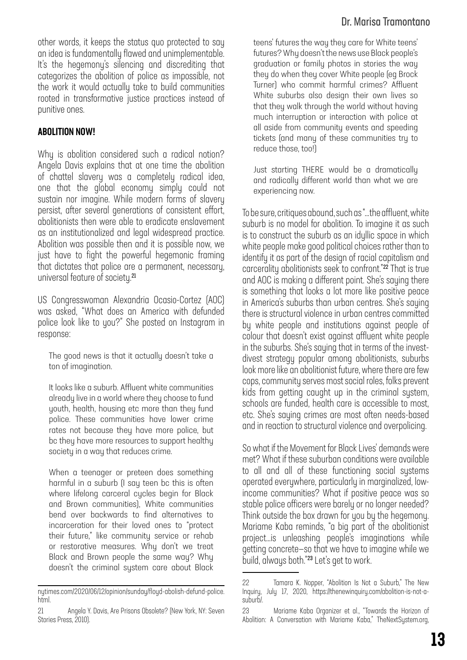other words, it keeps the status quo protected to say an idea is fundamentally flawed and unimplementable. It's the hegemony's silencing and discrediting that categorizes the abolition of police as impossible, not the work it would actually take to build communities rooted in transformative justice practices instead of punitive ones.

#### ABOLITION NOW!

Why is abolition considered such a radical notion? Angela Davis explains that at one time the abolition of chattel slavery was a completely radical idea, one that the global economy simply could not sustain nor imagine. While modern forms of slavery persist, after several generations of consistent effort, abolitionists then were able to eradicate enslavement as an institutionalized and legal widespread practice. Abolition was possible then and it is possible now, we just have to fight the powerful hegemonic framing that dictates that police are a permanent, necessary, universal feature of society.<sup>21</sup>

US Congresswoman Alexandria Ocasio-Cortez (AOC) was asked, "What does an America with defunded police look like to you?" She posted on Instagram in response:

The good news is that it actually doesn't take a ton of imagination.

It looks like a suburb. Affluent white communities already live in a world where they choose to fund youth, health, housing etc more than they fund police. These communities have lower crime rates not because they have more police, but bc they have more resources to support healthy society in a way that reduces crime.

When a teenager or preteen does something harmful in a suburb (I say teen bc this is often where lifelong carceral cycles begin for Black and Brown communities), White communities bend over backwards to find alternatives to incarceration for their loved ones to "protect their future," like community service or rehab or restorative measures. Why don't we treat Black and Brown people the same way? Why doesn't the criminal system care about Black

teens' futures the way they care for White teens' futures? Why doesn't the news use Black people's graduation or family photos in stories the way they do when they cover White people (eg Brock Turner) who commit harmful crimes? Affluent White suburbs also design their own lives so that they walk through the world without having much interruption or interaction with police at all aside from community events and speeding tickets (and many of these communities try to reduce those, too!)

Just starting THERE would be a dramatically and radically different world than what we are experiencing now.

To be sure, critiques abound, such as "…the affluent, white suburb is no model for abolition. To imagine it as such is to construct the suburb as an idyllic space in which white people make good political choices rather than to identify it as part of the design of racial capitalism and carcerality abolitionists seek to confront."<sup>22</sup> That is true and AOC is making a different point. She's saying there is something that looks a lot more like positive peace in America's suburbs than urban centres. She's saying there is structural violence in urban centres committed by white people and institutions against people of colour that doesn't exist against affluent white people in the suburbs. She's saying that in terms of the investdivest strategy popular among abolitionists, suburbs look more like an abolitionist future, where there are few cops, community serves most social roles, folks prevent kids from getting caught up in the criminal system, schools are funded, health care is accessible to most, etc. She's saying crimes are most often needs-based and in reaction to structural violence and overpolicing.

So what if the Movement for Black Lives' demands were met? What if these suburban conditions were available to all and all of these functioning social systems operated everywhere, particularly in marginalized, lowincome communities? What if positive peace was so stable police officers were barely or no longer needed? Think outside the box drawn for you by the hegemony. Mariame Kaba reminds, "a big part of the abolitionist project…is unleashing people's imaginations while getting concrete—so that we have to imagine while we build, always both."<sup>23</sup> Let's get to work.

nytimes.com/2020/06/12/opinion/sunday/floyd-abolish-defund-police. html.

<sup>21</sup> Angela Y. Davis, Are Prisons Obsolete? (New York, NY: Seven Stories Press, 2010).

<sup>22</sup> Tamara K. Nopper, "Abolition Is Not a Suburb," The New Inquiry, July 17, 2020, https://thenewinquiry.com/abolition-is-not-asuburb/.

<sup>23</sup> Mariame Kaba Organizer et al., "Towards the Horizon of Abolition: A Conversation with Mariame Kaba," TheNextSystem.org,